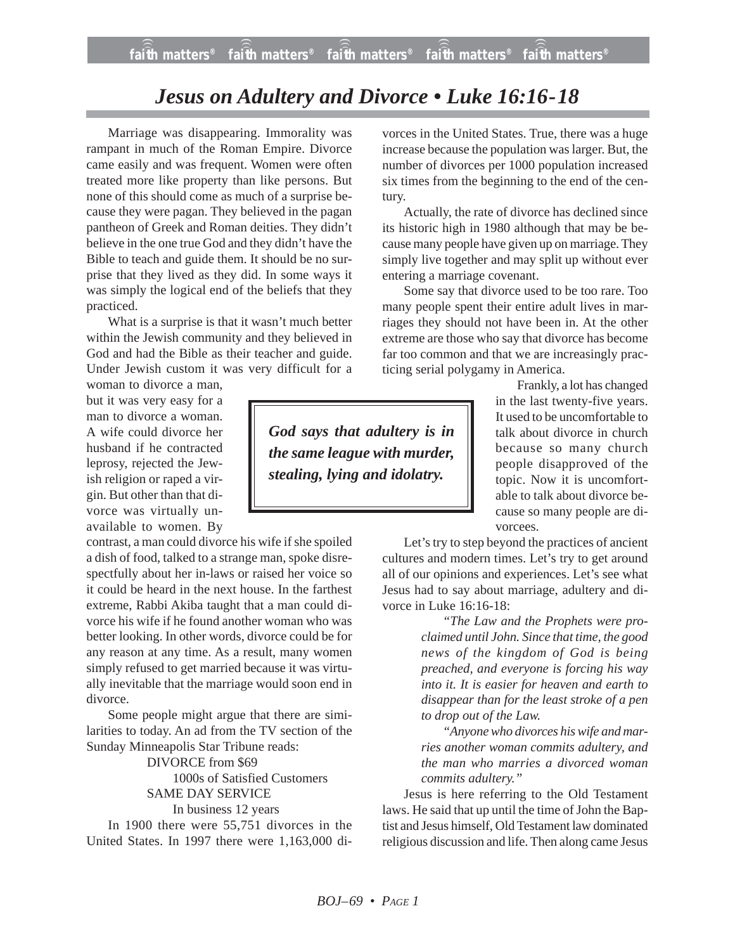## *Jesus on Adultery and Divorce • Luke 16:16-18*

Marriage was disappearing. Immorality was rampant in much of the Roman Empire. Divorce came easily and was frequent. Women were often treated more like property than like persons. But none of this should come as much of a surprise because they were pagan. They believed in the pagan pantheon of Greek and Roman deities. They didn't believe in the one true God and they didn't have the Bible to teach and guide them. It should be no surprise that they lived as they did. In some ways it was simply the logical end of the beliefs that they practiced.

What is a surprise is that it wasn't much better within the Jewish community and they believed in God and had the Bible as their teacher and guide. Under Jewish custom it was very difficult for a woman to divorce a man,

but it was very easy for a man to divorce a woman. A wife could divorce her husband if he contracted leprosy, rejected the Jewish religion or raped a virgin. But other than that divorce was virtually unavailable to women. By

contrast, a man could divorce his wife if she spoiled a dish of food, talked to a strange man, spoke disrespectfully about her in-laws or raised her voice so it could be heard in the next house. In the farthest extreme, Rabbi Akiba taught that a man could divorce his wife if he found another woman who was better looking. In other words, divorce could be for any reason at any time. As a result, many women simply refused to get married because it was virtually inevitable that the marriage would soon end in divorce.

Some people might argue that there are similarities to today. An ad from the TV section of the Sunday Minneapolis Star Tribune reads:

> DIVORCE from \$69 1000s of Satisfied Customers SAME DAY SERVICE

In business 12 years

In 1900 there were 55,751 divorces in the United States. In 1997 there were 1,163,000 divorces in the United States. True, there was a huge increase because the population was larger. But, the number of divorces per 1000 population increased six times from the beginning to the end of the century.

Actually, the rate of divorce has declined since its historic high in 1980 although that may be because many people have given up on marriage. They simply live together and may split up without ever entering a marriage covenant.

Some say that divorce used to be too rare. Too many people spent their entire adult lives in marriages they should not have been in. At the other extreme are those who say that divorce has become far too common and that we are increasingly practicing serial polygamy in America.

*God says that adultery is in the same league with murder, stealing, lying and idolatry.*

Frankly, a lot has changed in the last twenty-five years. It used to be uncomfortable to talk about divorce in church because so many church people disapproved of the topic. Now it is uncomfortable to talk about divorce because so many people are divorcees.

Let's try to step beyond the practices of ancient cultures and modern times. Let's try to get around all of our opinions and experiences. Let's see what Jesus had to say about marriage, adultery and divorce in Luke 16:16-18:

> *"The Law and the Prophets were proclaimed until John. Since that time, the good news of the kingdom of God is being preached, and everyone is forcing his way into it. It is easier for heaven and earth to disappear than for the least stroke of a pen to drop out of the Law.*

> *"Anyone who divorces his wife and marries another woman commits adultery, and the man who marries a divorced woman commits adultery."*

Jesus is here referring to the Old Testament laws. He said that up until the time of John the Baptist and Jesus himself, Old Testament law dominated religious discussion and life. Then along came Jesus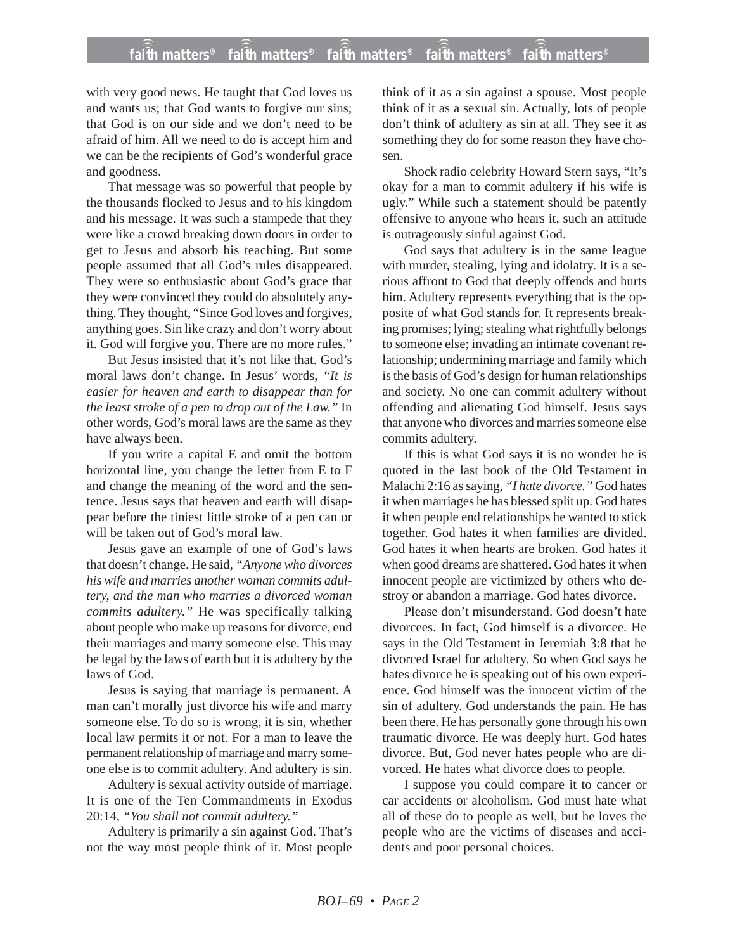## **faith matters® faith matters® faith matters® faith matters® faith matters®** ))) ))) ))) ))) )))

with very good news. He taught that God loves us and wants us; that God wants to forgive our sins; that God is on our side and we don't need to be afraid of him. All we need to do is accept him and we can be the recipients of God's wonderful grace and goodness.

That message was so powerful that people by the thousands flocked to Jesus and to his kingdom and his message. It was such a stampede that they were like a crowd breaking down doors in order to get to Jesus and absorb his teaching. But some people assumed that all God's rules disappeared. They were so enthusiastic about God's grace that they were convinced they could do absolutely anything. They thought, "Since God loves and forgives, anything goes. Sin like crazy and don't worry about it. God will forgive you. There are no more rules."

But Jesus insisted that it's not like that. God's moral laws don't change. In Jesus' words, *"It is easier for heaven and earth to disappear than for the least stroke of a pen to drop out of the Law."* In other words, God's moral laws are the same as they have always been.

If you write a capital E and omit the bottom horizontal line, you change the letter from E to F and change the meaning of the word and the sentence. Jesus says that heaven and earth will disappear before the tiniest little stroke of a pen can or will be taken out of God's moral law.

Jesus gave an example of one of God's laws that doesn't change. He said, *"Anyone who divorces his wife and marries another woman commits adultery, and the man who marries a divorced woman commits adultery."* He was specifically talking about people who make up reasons for divorce, end their marriages and marry someone else. This may be legal by the laws of earth but it is adultery by the laws of God.

Jesus is saying that marriage is permanent. A man can't morally just divorce his wife and marry someone else. To do so is wrong, it is sin, whether local law permits it or not. For a man to leave the permanent relationship of marriage and marry someone else is to commit adultery. And adultery is sin.

Adultery is sexual activity outside of marriage. It is one of the Ten Commandments in Exodus 20:14, *"You shall not commit adultery."*

Adultery is primarily a sin against God. That's not the way most people think of it. Most people think of it as a sin against a spouse. Most people think of it as a sexual sin. Actually, lots of people don't think of adultery as sin at all. They see it as something they do for some reason they have chosen.

Shock radio celebrity Howard Stern says, "It's okay for a man to commit adultery if his wife is ugly." While such a statement should be patently offensive to anyone who hears it, such an attitude is outrageously sinful against God.

God says that adultery is in the same league with murder, stealing, lying and idolatry. It is a serious affront to God that deeply offends and hurts him. Adultery represents everything that is the opposite of what God stands for. It represents breaking promises; lying; stealing what rightfully belongs to someone else; invading an intimate covenant relationship; undermining marriage and family which is the basis of God's design for human relationships and society. No one can commit adultery without offending and alienating God himself. Jesus says that anyone who divorces and marries someone else commits adultery.

If this is what God says it is no wonder he is quoted in the last book of the Old Testament in Malachi 2:16 as saying, *"I hate divorce."* God hates it when marriages he has blessed split up. God hates it when people end relationships he wanted to stick together. God hates it when families are divided. God hates it when hearts are broken. God hates it when good dreams are shattered. God hates it when innocent people are victimized by others who destroy or abandon a marriage. God hates divorce.

Please don't misunderstand. God doesn't hate divorcees. In fact, God himself is a divorcee. He says in the Old Testament in Jeremiah 3:8 that he divorced Israel for adultery. So when God says he hates divorce he is speaking out of his own experience. God himself was the innocent victim of the sin of adultery. God understands the pain. He has been there. He has personally gone through his own traumatic divorce. He was deeply hurt. God hates divorce. But, God never hates people who are divorced. He hates what divorce does to people.

I suppose you could compare it to cancer or car accidents or alcoholism. God must hate what all of these do to people as well, but he loves the people who are the victims of diseases and accidents and poor personal choices.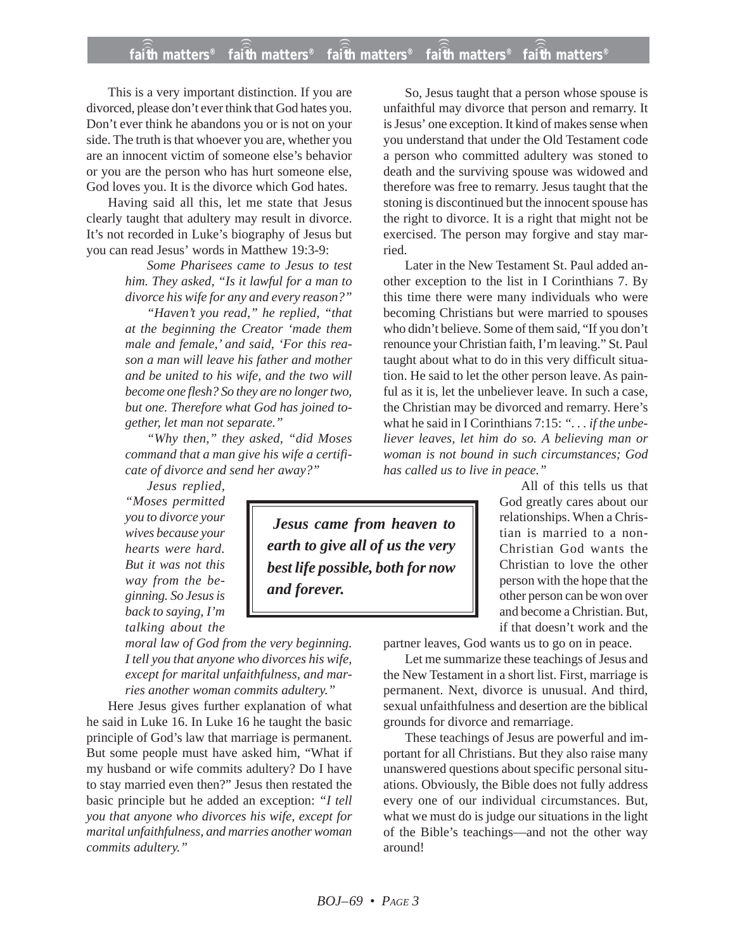## **faith matters® faith matters® faith matters® faith matters® faith matters®** ))) ))) faith matters<sup>®</sup> ))) )))

This is a very important distinction. If you are divorced, please don't ever think that God hates you. Don't ever think he abandons you or is not on your side. The truth is that whoever you are, whether you are an innocent victim of someone else's behavior or you are the person who has hurt someone else, God loves you. It is the divorce which God hates.

Having said all this, let me state that Jesus clearly taught that adultery may result in divorce. It's not recorded in Luke's biography of Jesus but you can read Jesus' words in Matthew 19:3-9:

> *Some Pharisees came to Jesus to test him. They asked, "Is it lawful for a man to divorce his wife for any and every reason?"*

> *"Haven't you read," he replied, "that at the beginning the Creator 'made them male and female,' and said, 'For this reason a man will leave his father and mother and be united to his wife, and the two will become one flesh? So they are no longer two, but one. Therefore what God has joined together, let man not separate."*

> *"Why then," they asked, "did Moses command that a man give his wife a certificate of divorce and send her away?"*

*Jesus replied, "Moses permitted you to divorce your wives because your hearts were hard. But it was not this way from the beginning. So Jesus is back to saying, I'm talking about the*

*moral law of God from the very beginning. I tell you that anyone who divorces his wife, except for marital unfaithfulness, and marries another woman commits adultery."*

Here Jesus gives further explanation of what he said in Luke 16. In Luke 16 he taught the basic principle of God's law that marriage is permanent. But some people must have asked him, "What if my husband or wife commits adultery? Do I have to stay married even then?" Jesus then restated the basic principle but he added an exception: *"I tell you that anyone who divorces his wife, except for marital unfaithfulness, and marries another woman commits adultery."*

*Jesus came from heaven to earth to give all of us the very best life possible, both for now and forever.*

So, Jesus taught that a person whose spouse is unfaithful may divorce that person and remarry. It is Jesus' one exception. It kind of makes sense when you understand that under the Old Testament code a person who committed adultery was stoned to death and the surviving spouse was widowed and therefore was free to remarry. Jesus taught that the stoning is discontinued but the innocent spouse has the right to divorce. It is a right that might not be exercised. The person may forgive and stay married.

Later in the New Testament St. Paul added another exception to the list in I Corinthians 7. By this time there were many individuals who were becoming Christians but were married to spouses who didn't believe. Some of them said, "If you don't renounce your Christian faith, I'm leaving." St. Paul taught about what to do in this very difficult situation. He said to let the other person leave. As painful as it is, let the unbeliever leave. In such a case, the Christian may be divorced and remarry. Here's what he said in I Corinthians 7:15: *". . . if the unbeliever leaves, let him do so. A believing man or woman is not bound in such circumstances; God has called us to live in peace."*

> All of this tells us that God greatly cares about our relationships. When a Christian is married to a non-Christian God wants the Christian to love the other person with the hope that the other person can be won over and become a Christian. But, if that doesn't work and the

partner leaves, God wants us to go on in peace.

Let me summarize these teachings of Jesus and the New Testament in a short list. First, marriage is permanent. Next, divorce is unusual. And third, sexual unfaithfulness and desertion are the biblical grounds for divorce and remarriage.

These teachings of Jesus are powerful and important for all Christians. But they also raise many unanswered questions about specific personal situations. Obviously, the Bible does not fully address every one of our individual circumstances. But, what we must do is judge our situations in the light of the Bible's teachings—and not the other way around!